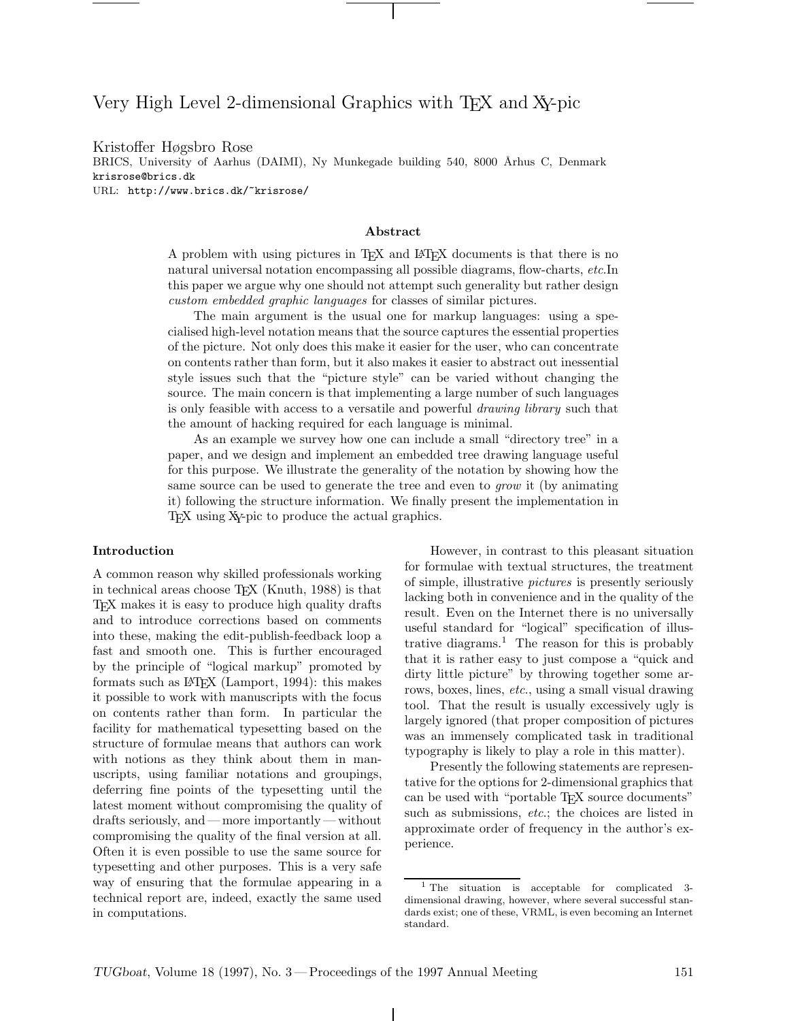# Very High Level 2-dimensional Graphics with T<sub>EX</sub> and X<sub>Y</sub>-pic

Kristoffer Høgsbro Rose BRICS, University of Aarhus (DAIMI), Ny Munkegade building 540, 8000 Århus C, Denmark krisrose@brics.dk URL: http://www.brics.dk/~krisrose/

# Abstract

A problem with using pictures in T<sub>EX</sub> and L<sup>AT</sup>EX documents is that there is no natural universal notation encompassing all possible diagrams, flow-charts, etc.In this paper we argue why one should not attempt such generality but rather design custom embedded graphic languages for classes of similar pictures.

The main argument is the usual one for markup languages: using a specialised high-level notation means that the source captures the essential properties of the picture. Not only does this make it easier for the user, who can concentrate on contents rather than form, but it also makes it easier to abstract out inessential style issues such that the "picture style" can be varied without changing the source. The main concern is that implementing a large number of such languages is only feasible with access to a versatile and powerful drawing library such that the amount of hacking required for each language is minimal.

As an example we survey how one can include a small "directory tree" in a paper, and we design and implement an embedded tree drawing language useful for this purpose. We illustrate the generality of the notation by showing how the same source can be used to generate the tree and even to *grow* it (by animating it) following the structure information. We finally present the implementation in T<sub>EX</sub> using X<sub>Y</sub>-pic to produce the actual graphics.

#### Introduction

A common reason why skilled professionals working in technical areas choose T<sub>E</sub>X (Knuth, 1988) is that TEX makes it is easy to produce high quality drafts and to introduce corrections based on comments into these, making the edit-publish-feedback loop a fast and smooth one. This is further encouraged by the principle of "logical markup" promoted by formats such as L<sup>A</sup>TEX (Lamport, 1994): this makes it possible to work with manuscripts with the focus on contents rather than form. In particular the facility for mathematical typesetting based on the structure of formulae means that authors can work with notions as they think about them in manuscripts, using familiar notations and groupings, deferring fine points of the typesetting until the latest moment without compromising the quality of drafts seriously, and — more importantly — without compromising the quality of the final version at all. Often it is even possible to use the same source for typesetting and other purposes. This is a very safe way of ensuring that the formulae appearing in a technical report are, indeed, exactly the same used in computations.

However, in contrast to this pleasant situation for formulae with textual structures, the treatment of simple, illustrative pictures is presently seriously lacking both in convenience and in the quality of the result. Even on the Internet there is no universally useful standard for "logical" specification of illustrative diagrams.<sup>1</sup> The reason for this is probably that it is rather easy to just compose a "quick and dirty little picture" by throwing together some arrows, boxes, lines, etc., using a small visual drawing tool. That the result is usually excessively ugly is largely ignored (that proper composition of pictures was an immensely complicated task in traditional typography is likely to play a role in this matter).

Presently the following statements are representative for the options for 2-dimensional graphics that can be used with "portable TEX source documents" such as submissions, etc.; the choices are listed in approximate order of frequency in the author's experience.

<sup>1</sup> The situation is acceptable for complicated 3 dimensional drawing, however, where several successful standards exist; one of these, VRML, is even becoming an Internet standard.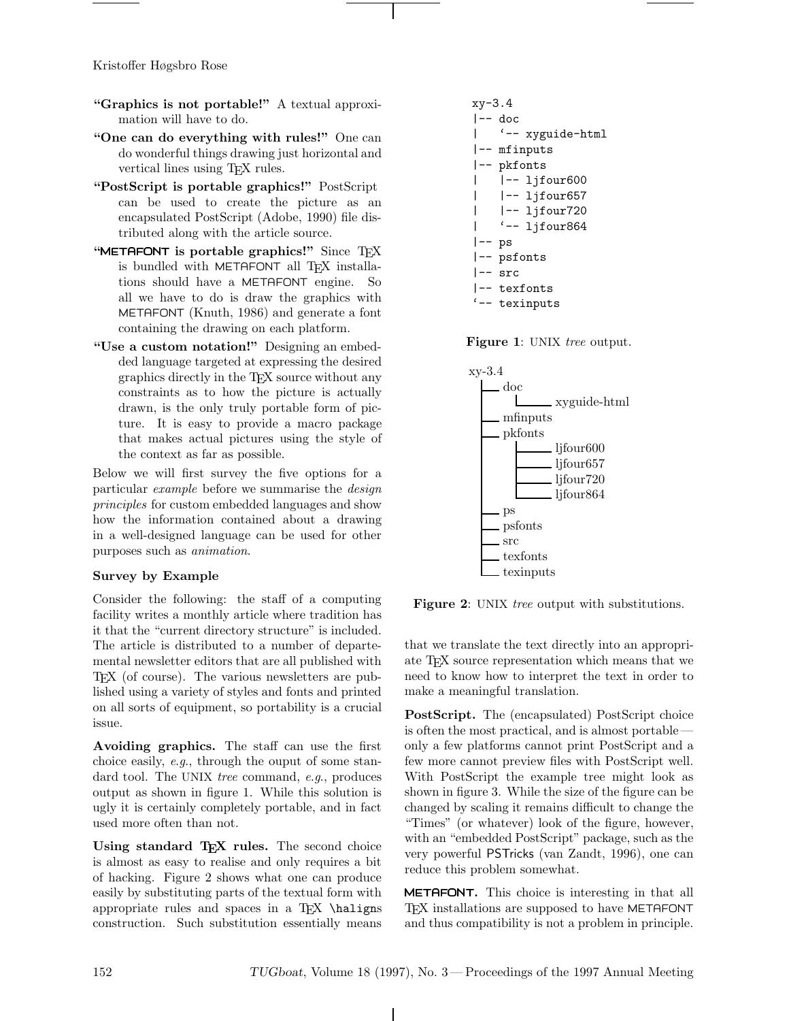- "Graphics is not portable!" A textual approximation will have to do.
- "One can do everything with rules!" One can do wonderful things drawing just horizontal and vertical lines using TEX rules.
- "PostScript is portable graphics!" PostScript can be used to create the picture as an encapsulated PostScript (Adobe, 1990) file distributed along with the article source.
- "METAFONT is portable graphics!" Since  $T_F X$ is bundled with METAFONT all TFX installations should have a METAFONT engine. So all we have to do is draw the graphics with METAFONT (Knuth, 1986) and generate a font containing the drawing on each platform.
- "Use a custom notation!" Designing an embedded language targeted at expressing the desired graphics directly in the TEX source without any constraints as to how the picture is actually drawn, is the only truly portable form of picture. It is easy to provide a macro package that makes actual pictures using the style of the context as far as possible.

Below we will first survey the five options for a particular example before we summarise the design principles for custom embedded languages and show how the information contained about a drawing in a well-designed language can be used for other purposes such as animation.

# Survey by Example

Consider the following: the staff of a computing facility writes a monthly article where tradition has it that the "current directory structure" is included. The article is distributed to a number of departemental newsletter editors that are all published with TEX (of course). The various newsletters are published using a variety of styles and fonts and printed on all sorts of equipment, so portability is a crucial issue.

Avoiding graphics. The staff can use the first choice easily, e.g., through the ouput of some standard tool. The UNIX tree command, e.g., produces output as shown in figure 1. While this solution is ugly it is certainly completely portable, and in fact used more often than not.

Using standard T<sub>F</sub>X rules. The second choice is almost as easy to realise and only requires a bit of hacking. Figure 2 shows what one can produce easily by substituting parts of the textual form with appropriate rules and spaces in a  $TrX \hat{\}$ construction. Such substitution essentially means

```
xy-3.4
|-- doc
    | '-- xyguide-html
|-- mfinputs
|-- pkfonts
    | |-- ljfour600
    | |-- ljfour657
| |-- ljfour720
| '-- ljfour864
|--| ps
|-- psfonts
|-- src
|-- texfonts
'-- texinputs
```
Figure 1: UNIX tree output.



Figure 2: UNIX *tree* output with substitutions.

that we translate the text directly into an appropriate TEX source representation which means that we need to know how to interpret the text in order to make a meaningful translation.

PostScript. The (encapsulated) PostScript choice is often the most practical, and is almost portable only a few platforms cannot print PostScript and a few more cannot preview files with PostScript well. With PostScript the example tree might look as shown in figure 3. While the size of the figure can be changed by scaling it remains difficult to change the "Times" (or whatever) look of the figure, however, with an "embedded PostScript" package, such as the very powerful PSTricks (van Zandt, 1996), one can reduce this problem somewhat.

METAFONT. This choice is interesting in that all TEX installations are supposed to have METAFONT and thus compatibility is not a problem in principle.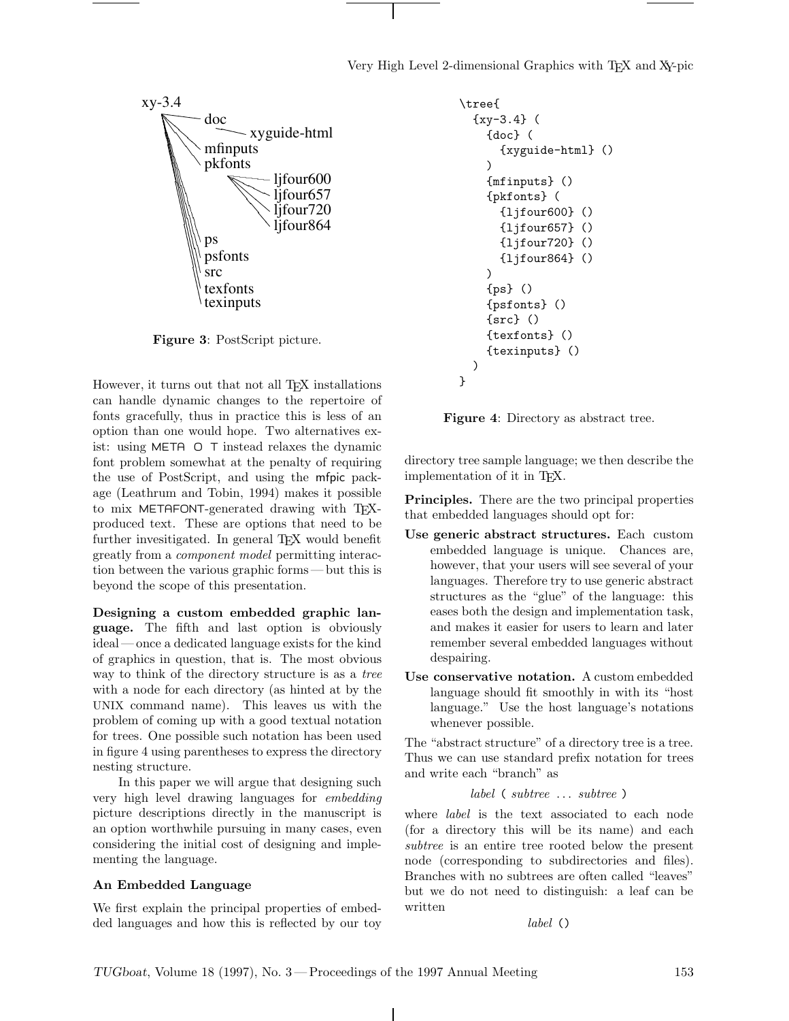Very High Level 2-dimensional Graphics with T<sub>E</sub>X and X<sub>Y</sub>-pic



Figure 3: PostScript picture.

However, it turns out that not all TEX installations can handle dynamic changes to the repertoire of fonts gracefully, thus in practice this is less of an option than one would hope. Two alternatives exist: using META O T instead relaxes the dynamic font problem somewhat at the penalty of requiring the use of PostScript, and using the mfpic package (Leathrum and Tobin, 1994) makes it possible to mix METAFONT-generated drawing with TFXproduced text. These are options that need to be further invesitigated. In general T<sub>EX</sub> would benefit greatly from a component model permitting interaction between the various graphic forms— but this is beyond the scope of this presentation.

Designing a custom embedded graphic language. The fifth and last option is obviously ideal— once a dedicated language exists for the kind of graphics in question, that is. The most obvious way to think of the directory structure is as a tree with a node for each directory (as hinted at by the UNIX command name). This leaves us with the problem of coming up with a good textual notation for trees. One possible such notation has been used in figure 4 using parentheses to express the directory nesting structure.

In this paper we will argue that designing such very high level drawing languages for embedding picture descriptions directly in the manuscript is an option worthwhile pursuing in many cases, even considering the initial cost of designing and implementing the language.

# An Embedded Language

We first explain the principal properties of embedded languages and how this is reflected by our toy

```
\tree{
  {xy-3.4} (
    {doc} (
      {xyguide-html} ()
    )
    {mfinputs} ()
    {pkfonts} (
      {ljfour600} ()
      {ljfour657} ()
      {ljfour720} ()
      {ljfour864} ()
    )
    {ps} ()
    {psfonts} ()
    {src} ()
    {texfonts} ()
    {texinputs} ()
  )
}
```
Figure 4: Directory as abstract tree.

directory tree sample language; we then describe the implementation of it in T<sub>EX</sub>.

**Principles.** There are the two principal properties that embedded languages should opt for:

- Use generic abstract structures. Each custom embedded language is unique. Chances are, however, that your users will see several of your languages. Therefore try to use generic abstract structures as the "glue" of the language: this eases both the design and implementation task, and makes it easier for users to learn and later remember several embedded languages without despairing.
- Use conservative notation. A custom embedded language should fit smoothly in with its "host language." Use the host language's notations whenever possible.

The "abstract structure" of a directory tree is a tree. Thus we can use standard prefix notation for trees and write each "branch" as

#### label ( subtree ... subtree )

where label is the text associated to each node (for a directory this will be its name) and each subtree is an entire tree rooted below the present node (corresponding to subdirectories and files). Branches with no subtrees are often called "leaves" but we do not need to distinguish: a leaf can be written

label ()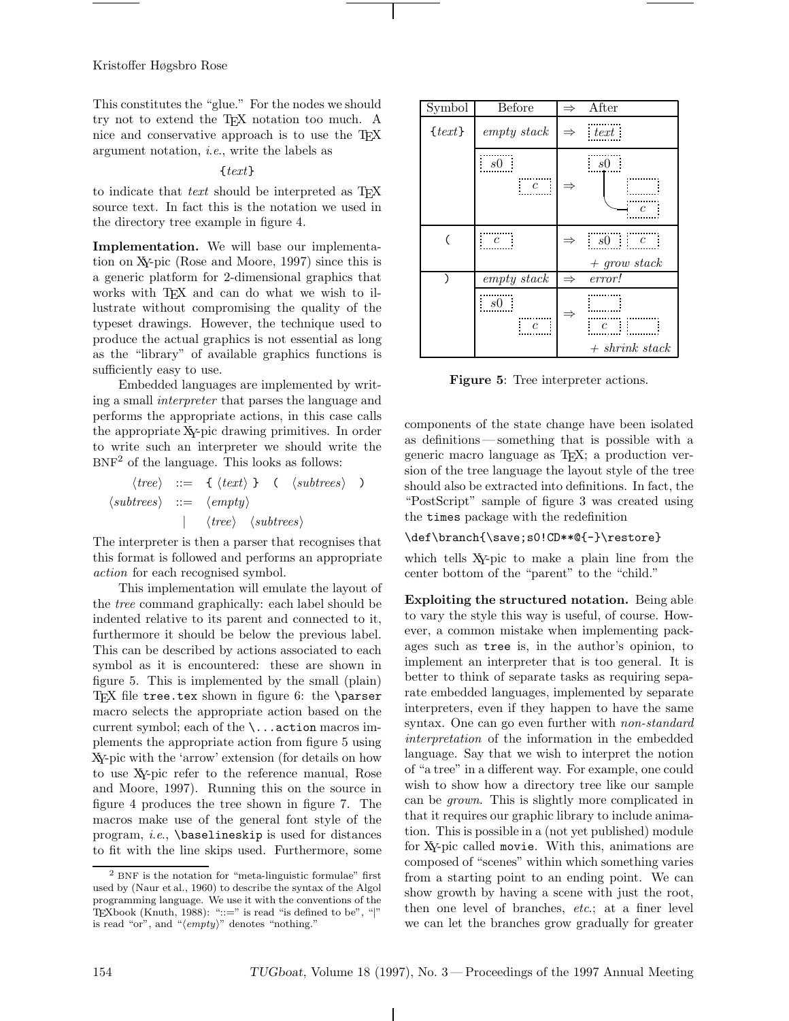This constitutes the "glue." For the nodes we should try not to extend the TEX notation too much. A nice and conservative approach is to use the T<sub>E</sub>X argument notation, i.e., write the labels as

# {text}

to indicate that text should be interpreted as  $T_F X$ source text. In fact this is the notation we used in the directory tree example in figure 4.

Implementation. We will base our implementation on XY-pic (Rose and Moore, 1997) since this is a generic platform for 2-dimensional graphics that works with TFX and can do what we wish to illustrate without compromising the quality of the typeset drawings. However, the technique used to produce the actual graphics is not essential as long as the "library" of available graphics functions is sufficiently easy to use.

Embedded languages are implemented by writing a small interpreter that parses the language and performs the appropriate actions, in this case calls the appropriate XY-pic drawing primitives. In order to write such an interpreter we should write the  $BNF<sup>2</sup>$  of the language. This looks as follows:

$$
\langle tree \rangle ::= \{ \langle text \rangle \} \quad (\langle subtrees \rangle \ )
$$
  

$$
\langle subtrees \rangle ::= \langle empty \rangle
$$
  

$$
| \quad \langle tree \rangle \quad \langle subtrees \rangle
$$

The interpreter is then a parser that recognises that this format is followed and performs an appropriate action for each recognised symbol.

This implementation will emulate the layout of the tree command graphically: each label should be indented relative to its parent and connected to it, furthermore it should be below the previous label. This can be described by actions associated to each symbol as it is encountered: these are shown in figure 5. This is implemented by the small (plain) TFX file tree.tex shown in figure 6: the \parser macro selects the appropriate action based on the current symbol; each of the \...action macros implements the appropriate action from figure 5 using XY-pic with the 'arrow' extension (for details on how to use XY-pic refer to the reference manual, Rose and Moore, 1997). Running this on the source in figure 4 produces the tree shown in figure 7. The macros make use of the general font style of the program, i.e., \baselineskip is used for distances to fit with the line skips used. Furthermore, some

| Symbol     | Before         | $\Rightarrow$ | After                                   |
|------------|----------------|---------------|-----------------------------------------|
| $\{text\}$ | empty stack    |               | $\Rightarrow$ text                      |
|            | s0<br>c        | $\Rightarrow$ | s0<br>$\mathfrak c$                     |
|            | $\overline{c}$ | $\Rightarrow$ | $s0 \qquad c$                           |
|            |                |               | $+$ grow stack                          |
|            | empty stack    | $\Rightarrow$ | error!                                  |
|            | s0<br>c        |               | $\mathfrak{c}$<br>I<br>$+$ shrink stack |

Figure 5: Tree interpreter actions.

components of the state change have been isolated as definitions — something that is possible with a generic macro language as TEX; a production version of the tree language the layout style of the tree should also be extracted into definitions. In fact, the "PostScript" sample of figure 3 was created using the times package with the redefinition

## \def\branch{\save;s0!CD\*\*@{-}\restore}

which tells XY-pic to make a plain line from the center bottom of the "parent" to the "child."

Exploiting the structured notation. Being able to vary the style this way is useful, of course. However, a common mistake when implementing packages such as tree is, in the author's opinion, to implement an interpreter that is too general. It is better to think of separate tasks as requiring separate embedded languages, implemented by separate interpreters, even if they happen to have the same syntax. One can go even further with *non-standard* interpretation of the information in the embedded language. Say that we wish to interpret the notion of "a tree" in a different way. For example, one could wish to show how a directory tree like our sample can be grown. This is slightly more complicated in that it requires our graphic library to include animation. This is possible in a (not yet published) module for XY-pic called movie. With this, animations are composed of "scenes" within which something varies from a starting point to an ending point. We can show growth by having a scene with just the root, then one level of branches, etc.; at a finer level we can let the branches grow gradually for greater

<sup>2</sup> BNF is the notation for "meta-linguistic formulae" first used by (Naur et al., 1960) to describe the syntax of the Algol programming language. We use it with the conventions of the TEXbook (Knuth, 1988): " $::=$ " is read "is defined to be", "|" is read "or", and " $\langle empty \rangle$ " denotes "nothing."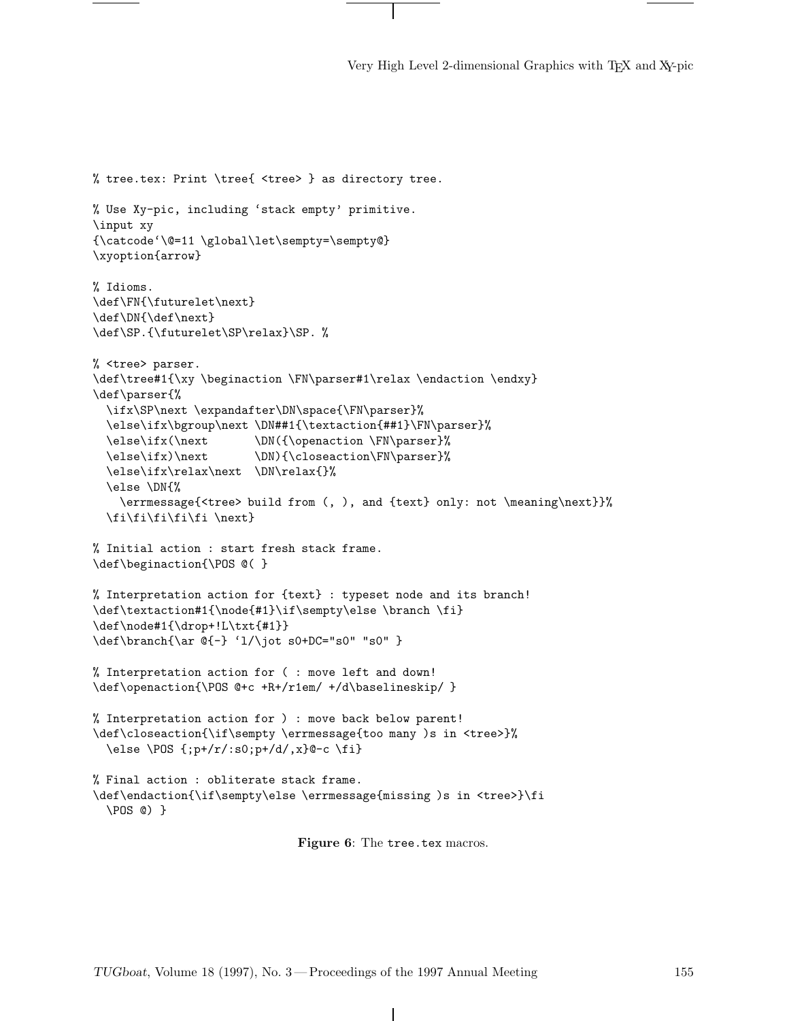Very High Level 2-dimensional Graphics with TEX and XY-pic

```
% tree.tex: Print \tree{ <tree> } as directory tree.
% Use Xy-pic, including 'stack empty' primitive.
\input xy
{\catcode'\@=11 \global\let\sempty=\sempty@}
\xyoption{arrow}
% Idioms.
\def\FN{\futurelet\next}
\def\DN{\def\next}
\def\SP.{\futurelet\SP\relax}\SP. %
% <tree> parser.
\def\tree#1{\xy \beginaction \FN\parser#1\relax \endaction \endxy}
\def\parser{%
  \ifx\SP\next \expandafter\DN\space{\FN\parser}%
  \else\ifx\bgroup\next \DN##1{\textaction{##1}\FN\parser}%
  \else\ifx(\next \DN({\openaction \FN\parser}%
  \else\ifx)\next \DN){\closeaction\FN\parser}%
  \else\ifx\relax\next \DN\relax{}%
  \else \DN{%
    \errmessage{<tree> build from (, ), and {text} only: not \meaning\next}}%
  \fi\fi\fi\fi\fi \next}
% Initial action : start fresh stack frame.
\def\beginaction{\POS @( }
% Interpretation action for {text} : typeset node and its branch!
\def\textaction#1{\node{#1}\if\sempty\else \branch \fi}
\def\node#1{\drop+!L\txt{#1}}
\def\branch{\ar @{-} 'l/\jot s0+DC="s0" "s0" }
% Interpretation action for ( : move left and down!
\def\openaction{\POS @+c +R+/r1em/ +/d\baselineskip/ }
% Interpretation action for ) : move back below parent!
\def\closeaction{\if\sempty \errmessage{too many )s in <tree>}%
  \else \POS {;p+/r/:s0;p+/d/,x}@-c \fi}
% Final action : obliterate stack frame.
\def\endaction{\if\sempty\else \errmessage{missing )s in <tree>}\fi
  \POS @) }
```
Figure 6: The tree.tex macros.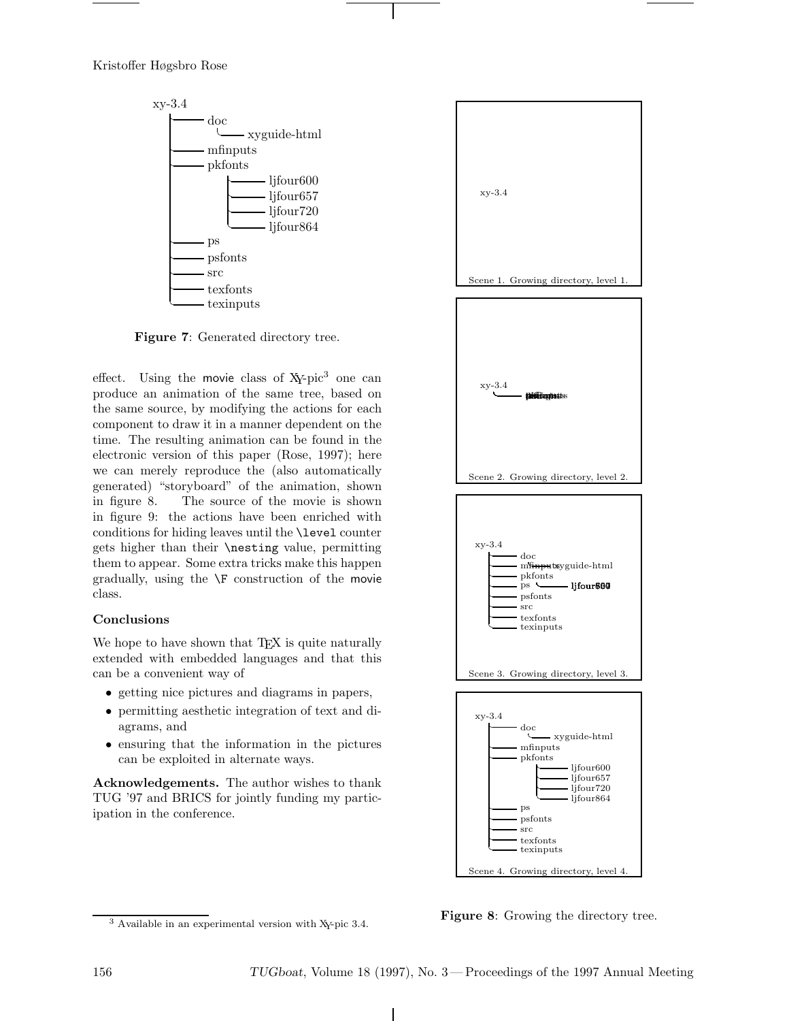

Figure 7: Generated directory tree.

effect. Using the movie class of  $X$ -pic<sup>3</sup> one can produce an animation of the same tree, based on the same source, by modifying the actions for each component to draw it in a manner dependent on the time. The resulting animation can be found in the electronic version of this paper (Rose, 1997); here we can merely reproduce the (also automatically generated) "storyboard" of the animation, shown in figure 8. The source of the movie is shown in figure 9: the actions have been enriched with conditions for hiding leaves until the \level counter gets higher than their \nesting value, permitting them to appear. Some extra tricks make this happen gradually, using the \F construction of the movie class.

# Conclusions

We hope to have shown that T<sub>EX</sub> is quite naturally extended with embedded languages and that this can be a convenient way of

- getting nice pictures and diagrams in papers,
- permitting aesthetic integration of text and diagrams, and
- ensuring that the information in the pictures can be exploited in alternate ways.

Acknowledgements. The author wishes to thank TUG '97 and BRICS for jointly funding my participation in the conference.



Figure 8: Growing the directory tree.

<sup>3</sup> Available in an experimental version with XY-pic 3.4.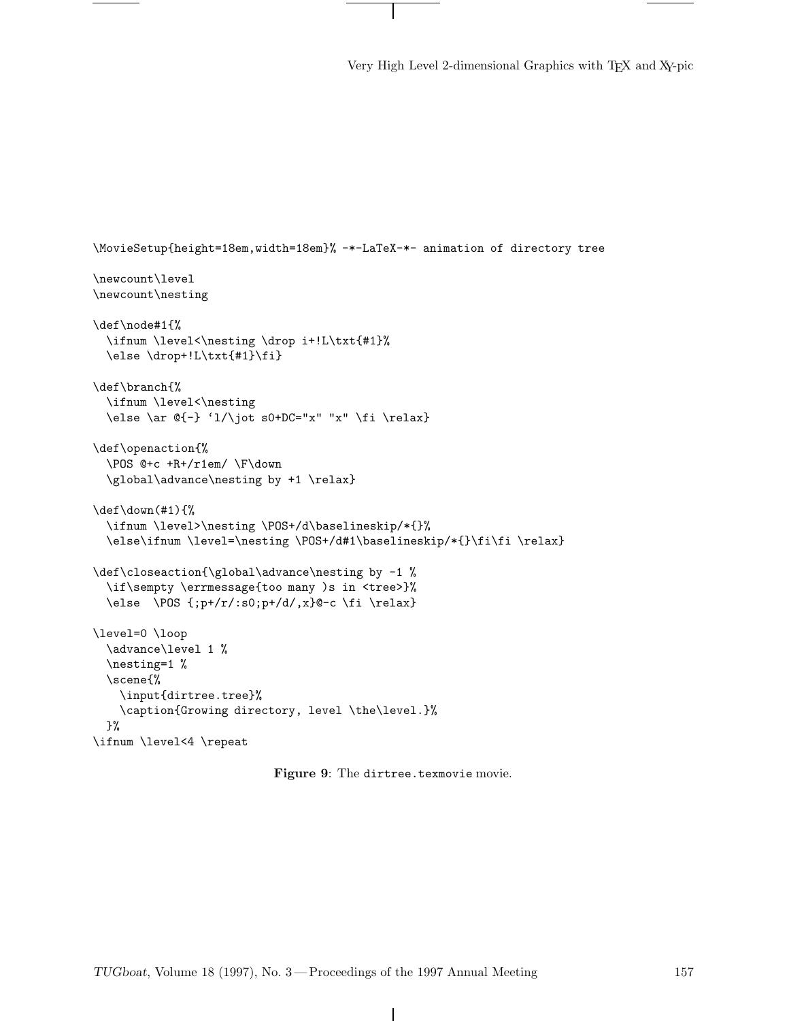Very High Level 2-dimensional Graphics with TEX and XY-pic

```
\MovieSetup{height=18em,width=18em}% -*-LaTeX-*- animation of directory tree
\newcount\level
\newcount\nesting
\def\node#1{%
  \ifnum \level<\nesting \drop i+!L\txt{#1}%
  \else \drop+!L\txt{#1}\fi}
\def\branch{%
  \ifnum \level<\nesting
  \else \ar \ell-\iota 'l/\jot s0+DC="x" "x" \fi \relax}
\def\openaction{%
  \POS @+c +R+/r1em/ \F\down
  \global\advance\nesting by +1 \relax}
\def\down(#1){%
  \ifnum \level>\nesting \POS+/d\baselineskip/*{}%
  \else\ifnum \level=\nesting \POS+/d#1\baselineskip/*{}\fi\fi \relax}
\def\closeaction{\global\advance\nesting by -1 %
  \if\sempty \errmessage{too many )s in <tree>}%
  \else \POS {;p+/r/:s0;p+/d/,x}@-c \fi \relax}
\level=0 \loop
  \advance\level 1 %
  \nesting=1 %
  \scene{%
   \input{dirtree.tree}%
   \caption{Growing directory, level \the\level.}%
 }%
\ifnum \level<4 \repeat
```
Figure 9: The dirtree.texmovie movie.